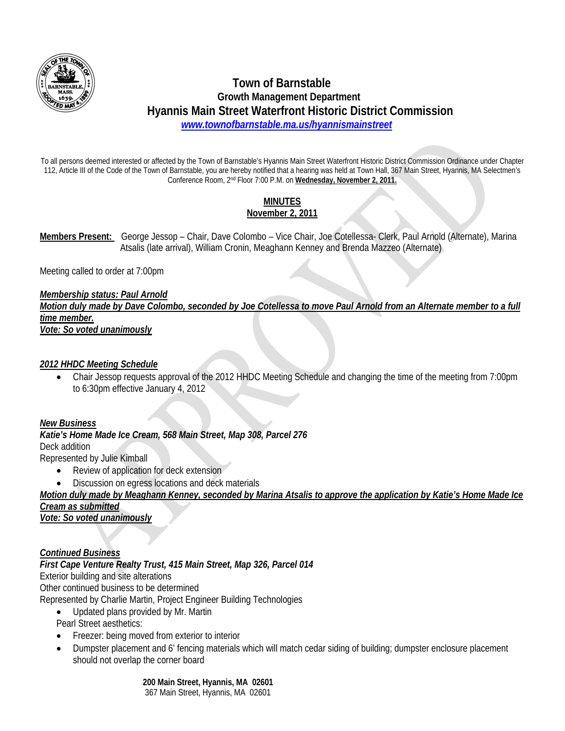

# **Town of Barnstable Growth Management Department Hyannis Main Street Waterfront Historic District Commission**   *www.townofbarnstable.ma.us/hyannismainstreet*

To all persons deemed interested or affected by the Town of Barnstable's Hyannis Main Street Waterfront Historic District Commission Ordinance under Chapter 112, Article III of the Code of the Town of Barnstable, you are hereby notified that a hearing was held at Town Hall, 367 Main Street, Hyannis, MA Selectmen's Conference Room, 2nd Floor 7:00 P.M. on **Wednesday, November 2, 2011.**

# **MINUTES November 2, 2011**

**Members Present:** George Jessop – Chair, Dave Colombo – Vice Chair, Joe Cotellessa- Clerk, Paul Arnold (Alternate), Marina Atsalis (late arrival), William Cronin, Meaghann Kenney and Brenda Mazzeo (Alternate)

Meeting called to order at 7:00pm

#### *Membership status: Paul Arnold Motion duly made by Dave Colombo, seconded by Joe Cotellessa to move Paul Arnold from an Alternate member to a full time member. Vote: So voted unanimously*

## *2012 HHDC Meeting Schedule*

 Chair Jessop requests approval of the 2012 HHDC Meeting Schedule and changing the time of the meeting from 7:00pm to 6:30pm effective January 4, 2012

## *New Business*

*Katie's Home Made Ice Cream, 568 Main Street, Map 308, Parcel 276*  Deck addition

Represented by Julie Kimball

- Review of application for deck extension
- Discussion on egress locations and deck materials

*Motion duly made by Meaghann Kenney, seconded by Marina Atsalis to approve the application by Katie's Home Made Ice Cream as submitted Vote: So voted unanimously*

## *Continued Business*

*First Cape Venture Realty Trust, 415 Main Street, Map 326, Parcel 014*  Exterior building and site alterations Other continued business to be determined Represented by Charlie Martin, Project Engineer Building Technologies

- Updated plans provided by Mr. Martin
- Pearl Street aesthetics:
- Freezer: being moved from exterior to interior
- Dumpster placement and 6' fencing materials which will match cedar siding of building; dumpster enclosure placement should not overlap the corner board

 **200 Main Street, Hyannis, MA 02601** 

367 Main Street, Hyannis, MA 02601